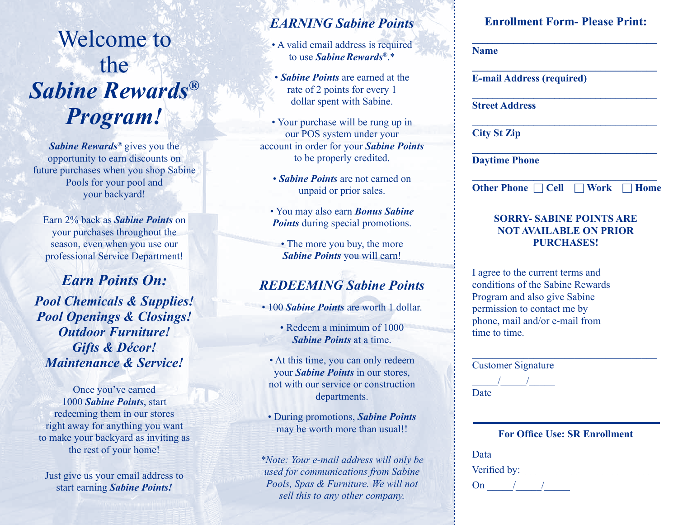# Welcome to the *Sabine Rewards® Program!*

*Sabine Rewards®* gives you the opportunity to earn discounts on future purchases when you shop Sabine Pools for your pool and your backyard!

Earn 2% back as *Sabine Points* on your purchases throughout the season, even when you use our professional Service Department!

*Earn Points On: Pool Chemicals & Supplies! Pool Openings & Closings! Outdoor Furniture! Gifts & Décor! Maintenance & Service!*

Once you've earned 1000 *Sabine Points*, start redeeming them in our stores right away for anything you want to make your backyard as inviting as the rest of your home!

Just give us your email address to start earning *Sabine Points!*

# *EARNING Sabine Points*

- A valid email address is required to use *SabineRewards®*.\*
- *Sabine Points* are earned at the rate of 2 points for every 1 dollar spent with Sabine.
- Your purchase will be rung up in our POS system under your account in order for your *Sabine Points* to be properly credited.
	- *Sabine Points* are not earned on unpaid or prior sales.
	- You may also earn *Bonus Sabine Points* during special promotions.
		- The more you buy, the more *Sabine Points* you will earn!

# *REDEEMING Sabine Points*

- 100 *Sabine Points* are worth 1 dollar.
	- Redeem a minimum of 1000 *Sabine Points* at a time.
- At this time, you can only redeem your *Sabine Points* in our stores, not with our service or construction departments.
- During promotions, *Sabine Points* may be worth more than usual!!

*\*Note: Your e-mail address will only be used for communications from Sabine Pools, Spas & Furniture. We will not sell this to any other company.*

## **Enrollment Form- Please Print: \_\_\_\_\_\_\_\_\_\_\_\_\_\_\_\_\_\_\_\_\_\_\_\_\_\_\_\_\_\_\_\_\_\_\_\_**

 **\_\_\_\_\_\_\_\_\_\_\_\_\_\_\_\_\_\_\_\_\_\_\_\_\_\_\_\_\_\_\_\_\_\_\_\_**

 **\_\_\_\_\_\_\_\_\_\_\_\_\_\_\_\_\_\_\_\_\_\_\_\_\_\_\_\_\_\_\_\_\_\_\_\_**

 **\_\_\_\_\_\_\_\_\_\_\_\_\_\_\_\_\_\_\_\_\_\_\_\_\_\_\_\_\_\_\_\_\_\_\_\_**

 **\_\_\_\_\_\_\_\_\_\_\_\_\_\_\_\_\_\_\_\_\_\_\_\_\_\_\_\_\_\_\_\_\_\_\_\_**

 **Name**

 **E-mail Address (required)**

 **Street Address**

 **City St Zip**

 **Daytime Phone**

| Other Phone $\Box$ Cell $\Box$ Work $\Box$ Home |  |
|-------------------------------------------------|--|

## **SORRY- SABINE POINTS ARE NOT AVAILABLE ON PRIOR PURCHASES!**

 I agree to the current terms and conditions of the Sabine Rewards Program and also give Sabine permission to contact me by phone, mail and/or e-mail from time to time.

|      | <b>Customer Signature</b>            |
|------|--------------------------------------|
|      |                                      |
| Date |                                      |
|      |                                      |
|      |                                      |
|      |                                      |
|      |                                      |
|      | <b>For Office Use: SR Enrollment</b> |
|      |                                      |
| Data | Verified by:                         |